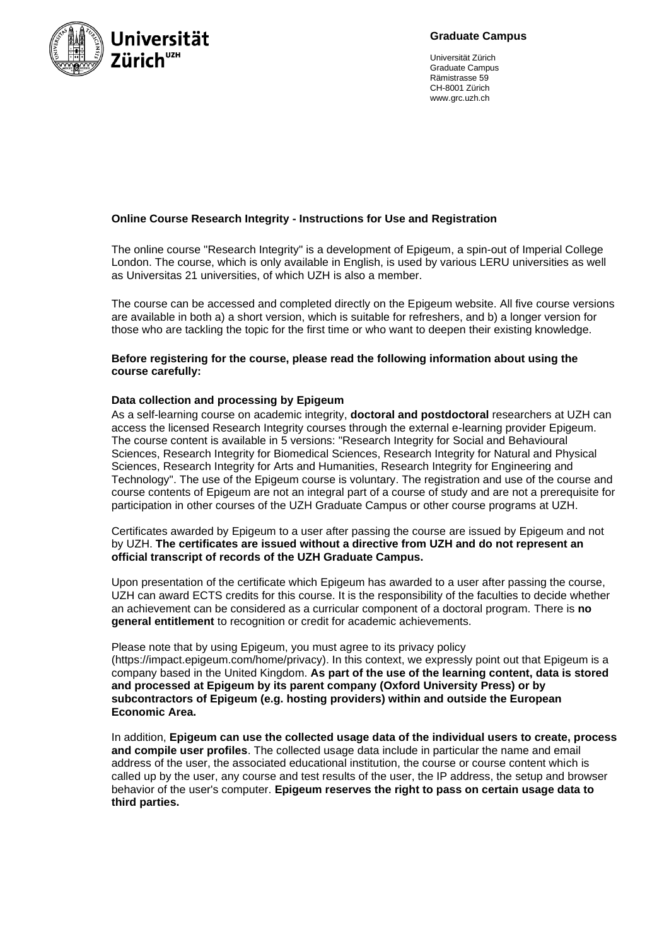

**Graduate Campus**

Universität Zürich Graduate Campus Rämistrasse 59 CH-8001 Zürich www.grc.uzh.ch

# **Online Course Research Integrity - Instructions for Use and Registration**

The online course "Research Integrity" is a development of Epigeum, a spin-out of Imperial College London. The course, which is only available in English, is used by various LERU universities as well as Universitas 21 universities, of which UZH is also a member.

The course can be accessed and completed directly on the Epigeum website. All five course versions are available in both a) a short version, which is suitable for refreshers, and b) a longer version for those who are tackling the topic for the first time or who want to deepen their existing knowledge.

## **Before registering for the course, please read the following information about using the course carefully:**

# **Data collection and processing by Epigeum**

As a self-learning course on academic integrity, **doctoral and postdoctoral** researchers at UZH can access the licensed Research Integrity courses through the external e-learning provider Epigeum. The course content is available in 5 versions: "Research Integrity for Social and Behavioural Sciences, Research Integrity for Biomedical Sciences, Research Integrity for Natural and Physical Sciences, Research Integrity for Arts and Humanities, Research Integrity for Engineering and Technology". The use of the Epigeum course is voluntary. The registration and use of the course and course contents of Epigeum are not an integral part of a course of study and are not a prerequisite for participation in other courses of the UZH Graduate Campus or other course programs at UZH.

Certificates awarded by Epigeum to a user after passing the course are issued by Epigeum and not by UZH. **The certificates are issued without a directive from UZH and do not represent an official transcript of records of the UZH Graduate Campus.**

Upon presentation of the certificate which Epigeum has awarded to a user after passing the course, UZH can award ECTS credits for this course. It is the responsibility of the faculties to decide whether an achievement can be considered as a curricular component of a doctoral program. There is **no general entitlement** to recognition or credit for academic achievements.

Please note that by using Epigeum, you must agree to its privacy policy (https://impact.epigeum.com/home/privacy). In this context, we expressly point out that Epigeum is a company based in the United Kingdom. **As part of the use of the learning content, data is stored and processed at Epigeum by its parent company (Oxford University Press) or by subcontractors of Epigeum (e.g. hosting providers) within and outside the European Economic Area.**

In addition, **Epigeum can use the collected usage data of the individual users to create, process and compile user profiles**. The collected usage data include in particular the name and email address of the user, the associated educational institution, the course or course content which is called up by the user, any course and test results of the user, the IP address, the setup and browser behavior of the user's computer. **Epigeum reserves the right to pass on certain usage data to third parties.**